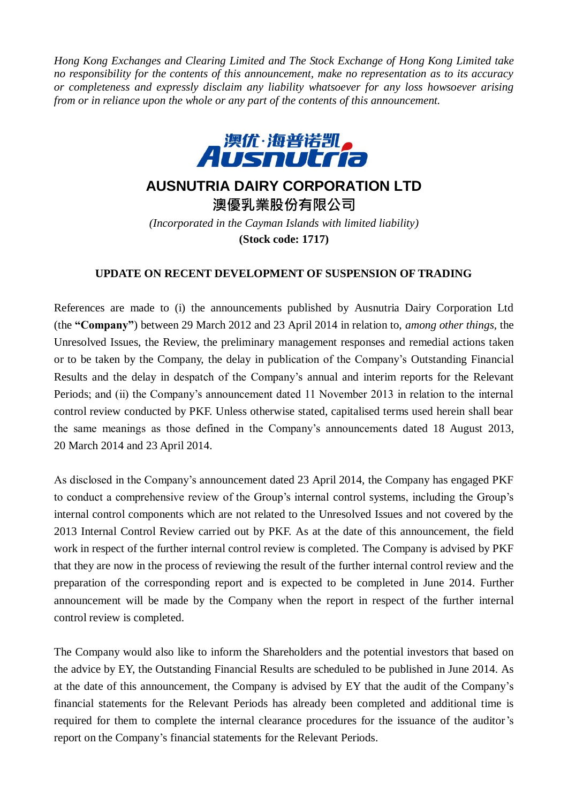*Hong Kong Exchanges and Clearing Limited and The Stock Exchange of Hong Kong Limited take no responsibility for the contents of this announcement, make no representation as to its accuracy or completeness and expressly disclaim any liability whatsoever for any loss howsoever arising from or in reliance upon the whole or any part of the contents of this announcement.*



## **AUSNUTRIA DAIRY CORPORATION LTD**

**澳優乳業股份有限公司** *(Incorporated in the Cayman Islands with limited liability)* **(Stock code: 1717)**

## **UPDATE ON RECENT DEVELOPMENT OF SUSPENSION OF TRADING**

References are made to (i) the announcements published by Ausnutria Dairy Corporation Ltd (the **"Company"**) between 29 March 2012 and 23 April 2014 in relation to, *among other things,* the Unresolved Issues, the Review, the preliminary management responses and remedial actions taken or to be taken by the Company, the delay in publication of the Company's Outstanding Financial Results and the delay in despatch of the Company's annual and interim reports for the Relevant Periods; and (ii) the Company's announcement dated 11 November 2013 in relation to the internal control review conducted by PKF. Unless otherwise stated, capitalised terms used herein shall bear the same meanings as those defined in the Company's announcements dated 18 August 2013, 20 March 2014 and 23 April 2014.

As disclosed in the Company's announcement dated 23 April 2014, the Company has engaged PKF to conduct a comprehensive review of the Group's internal control systems, including the Group's internal control components which are not related to the Unresolved Issues and not covered by the 2013 Internal Control Review carried out by PKF. As at the date of this announcement, the field work in respect of the further internal control review is completed*.* The Company is advised by PKF that they are now in the process of reviewing the result of the further internal control review and the preparation of the corresponding report and is expected to be completed in June 2014. Further announcement will be made by the Company when the report in respect of the further internal control review is completed.

The Company would also like to inform the Shareholders and the potential investors that based on the advice by EY, the Outstanding Financial Results are scheduled to be published in June 2014. As at the date of this announcement, the Company is advised by EY that the audit of the Company's financial statements for the Relevant Periods has already been completed and additional time is required for them to complete the internal clearance procedures for the issuance of the auditor's report on the Company's financial statements for the Relevant Periods.